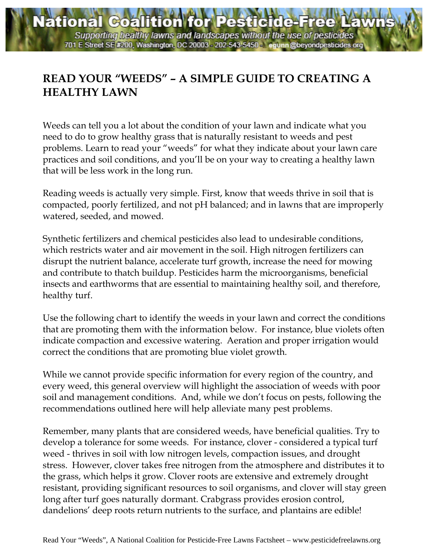## **READ YOUR "WEEDS" – A SIMPLE GUIDE TO CREATING A HEALTHY LAWN**

Weeds can tell you a lot about the condition of your lawn and indicate what you need to do to grow healthy grass that is naturally resistant to weeds and pest problems. Learn to read your "weeds" for what they indicate about your lawn care practices and soil conditions, and you'll be on your way to creating a healthy lawn that will be less work in the long run.

Reading weeds is actually very simple. First, know that weeds thrive in soil that is compacted, poorly fertilized, and not pH balanced; and in lawns that are improperly watered, seeded, and mowed.

Synthetic fertilizers and chemical pesticides also lead to undesirable conditions, which restricts water and air movement in the soil. High nitrogen fertilizers can disrupt the nutrient balance, accelerate turf growth, increase the need for mowing and contribute to thatch buildup. Pesticides harm the microorganisms, beneficial insects and earthworms that are essential to maintaining healthy soil, and therefore, healthy turf.

Use the following chart to identify the weeds in your lawn and correct the conditions that are promoting them with the information below. For instance, blue violets often indicate compaction and excessive watering. Aeration and proper irrigation would correct the conditions that are promoting blue violet growth.

While we cannot provide specific information for every region of the country, and every weed, this general overview will highlight the association of weeds with poor soil and management conditions. And, while we don't focus on pests, following the recommendations outlined here will help alleviate many pest problems.

Remember, many plants that are considered weeds, have beneficial qualities. Try to develop a tolerance for some weeds. For instance, clover - considered a typical turf weed - thrives in soil with low nitrogen levels, compaction issues, and drought stress. However, clover takes free nitrogen from the atmosphere and distributes it to the grass, which helps it grow. Clover roots are extensive and extremely drought resistant, providing significant resources to soil organisms, and clover will stay green long after turf goes naturally dormant. Crabgrass provides erosion control, dandelions' deep roots return nutrients to the surface, and plantains are edible!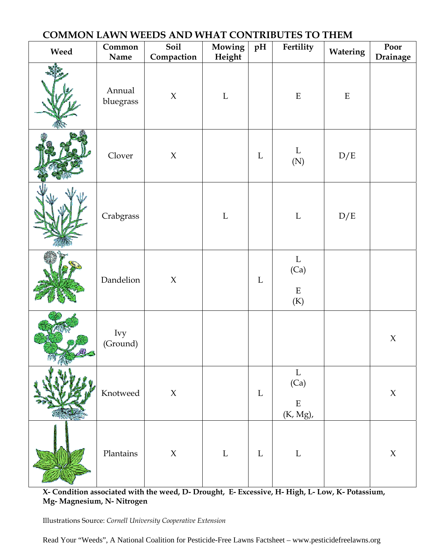| COMMON LAWN WEEDS AND WHAT CONTRIBUTES TO THEM |                     |                           |                  |             |                                                 |          |                     |
|------------------------------------------------|---------------------|---------------------------|------------------|-------------|-------------------------------------------------|----------|---------------------|
| Weed                                           | Common<br>Name      | Soil<br>Compaction        | Mowing<br>Height | pH          | Fertility                                       | Watering | Poor<br>Drainage    |
|                                                | Annual<br>bluegrass | $\boldsymbol{\mathsf{X}}$ | $\mathbf L$      |             | $\mathbf E$                                     | E        |                     |
|                                                | Clover              | $\chi$                    |                  | $\mathbf L$ | $\mathbf{L}$<br>$(\mathbf{N})$                  | D/E      |                     |
|                                                | Crabgrass           |                           | $\mathbf L$      |             | $\mathbf L$                                     | D/E      |                     |
|                                                | Dandelion           | $\boldsymbol{\chi}$       |                  | L           | $\mathbf L$<br>(Ca)<br>${\bf E}$<br>(K)         |          |                     |
|                                                | Ivy<br>(Ground)     |                           |                  |             |                                                 |          | $\boldsymbol{\chi}$ |
|                                                | Knotweed            | $\boldsymbol{\chi}$       |                  | $\mathbf L$ | $\mathbf L$<br>(Ca)<br>${\bf E}$<br>$(K, Mg)$ , |          | $\chi$              |
|                                                | Plantains           | $\boldsymbol{\chi}$       | $\mathbf L$      | $\mathbf L$ | $\Gamma$                                        |          | $\chi$              |

**X- Condition associated with the weed, D- Drought, E- Excessive, H- High, L- Low, K- Potassium, Mg- Magnesium, N- Nitrogen** 

Illustrations Source: *Cornell University Cooperative Extension*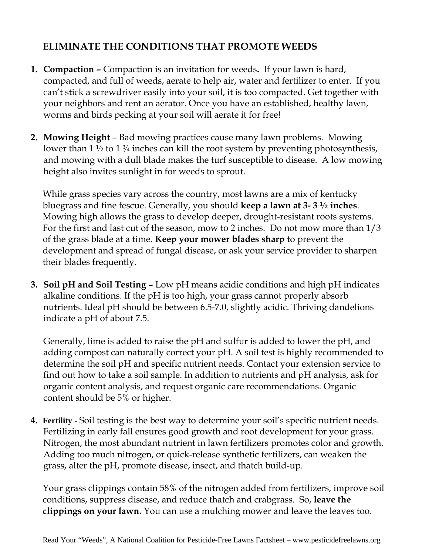## **ELIMINATE THE CONDITIONS THAT PROMOTE WEEDS**

- **1. Compaction** Compaction is an invitation for weeds**.** If your lawn is hard, compacted, and full of weeds, aerate to help air, water and fertilizer to enter. If you can't stick a screwdriver easily into your soil, it is too compacted. Get together with your neighbors and rent an aerator. Once you have an established, healthy lawn, worms and birds pecking at your soil will aerate it for free!
- **2. Mowing Height**  Bad mowing practices cause many lawn problems. Mowing lower than  $1\frac{1}{2}$  to  $1\frac{3}{4}$  inches can kill the root system by preventing photosynthesis, and mowing with a dull blade makes the turf susceptible to disease. A low mowing height also invites sunlight in for weeds to sprout.

While grass species vary across the country, most lawns are a mix of kentucky bluegrass and fine fescue. Generally, you should **keep a lawn at 3- 3 ½ inches**. Mowing high allows the grass to develop deeper, drought-resistant roots systems. For the first and last cut of the season, mow to 2 inches. Do not mow more than 1/3 of the grass blade at a time. **Keep your mower blades sharp** to prevent the development and spread of fungal disease, or ask your service provider to sharpen their blades frequently.

**3. Soil pH and Soil Testing –** Low pH means acidic conditions and high pH indicates alkaline conditions. If the pH is too high, your grass cannot properly absorb nutrients. Ideal pH should be between 6.5-7.0, slightly acidic. Thriving dandelions indicate a pH of about 7.5.

Generally, lime is added to raise the pH and sulfur is added to lower the pH, and adding compost can naturally correct your pH. A soil test is highly recommended to determine the soil pH and specific nutrient needs. Contact your extension service to find out how to take a soil sample. In addition to nutrients and pH analysis, ask for organic content analysis, and request organic care recommendations. Organic content should be 5% or higher.

**4. Fertility -** Soil testing is the best way to determine your soil's specific nutrient needs. Fertilizing in early fall ensures good growth and root development for your grass. Nitrogen, the most abundant nutrient in lawn fertilizers promotes color and growth. Adding too much nitrogen, or quick-release synthetic fertilizers, can weaken the grass, alter the pH, promote disease, insect, and thatch build-up.

Your grass clippings contain 58% of the nitrogen added from fertilizers, improve soil conditions, suppress disease, and reduce thatch and crabgrass. So, **leave the clippings on your lawn.** You can use a mulching mower and leave the leaves too.